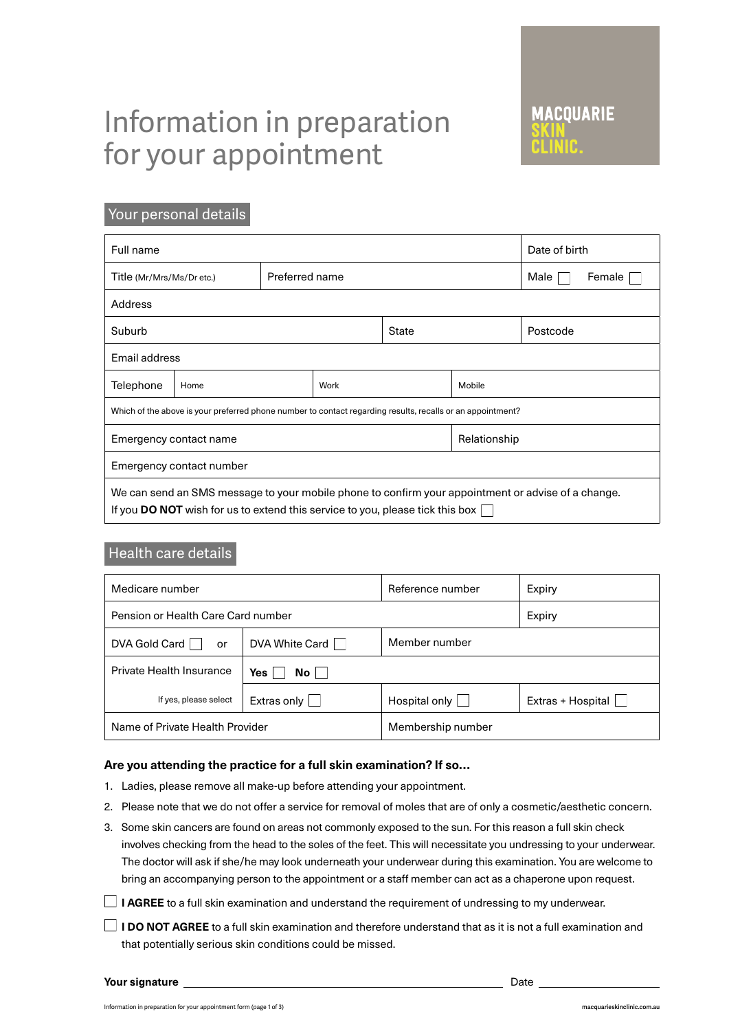# Information in preparation for your appointment

# Your personal details

| Full name                                                                                                                                                                                          | Date of birth |                |  |              |              |          |  |
|----------------------------------------------------------------------------------------------------------------------------------------------------------------------------------------------------|---------------|----------------|--|--------------|--------------|----------|--|
| Title (Mr/Mrs/Ms/Dr etc.)                                                                                                                                                                          |               | Preferred name |  |              | Male         | Female   |  |
| Address                                                                                                                                                                                            |               |                |  |              |              |          |  |
| Suburb                                                                                                                                                                                             |               |                |  | <b>State</b> |              | Postcode |  |
| Email address                                                                                                                                                                                      |               |                |  |              |              |          |  |
| Telephone                                                                                                                                                                                          | Home          | Work           |  | Mobile       |              |          |  |
| Which of the above is your preferred phone number to contact regarding results, recalls or an appointment?                                                                                         |               |                |  |              |              |          |  |
| Emergency contact name                                                                                                                                                                             |               |                |  |              | Relationship |          |  |
| Emergency contact number                                                                                                                                                                           |               |                |  |              |              |          |  |
| We can send an SMS message to your mobile phone to confirm your appointment or advise of a change.<br>If you <b>DO NOT</b> wish for us to extend this service to you, please tick this box $\vert$ |               |                |  |              |              |          |  |

# Health care details

| Medicare number                    |                                 | Reference number     | Expiry            |  |
|------------------------------------|---------------------------------|----------------------|-------------------|--|
| Pension or Health Care Card number |                                 |                      | Expiry            |  |
| DVA Gold Card<br>or                | Member number<br>DVA White Card |                      |                   |  |
| <b>Private Health Insurance</b>    | Yes<br>$No$ $ $                 |                      |                   |  |
| If yes, please select              | Extras only                     | Hospital only $\Box$ | Extras + Hospital |  |
| Name of Private Health Provider    |                                 | Membership number    |                   |  |

## **Are you attending the practice for a full skin examination? If so…**

- 1. Ladies, please remove all make-up before attending your appointment.
- 2. Please note that we do not offer a service for removal of moles that are of only a cosmetic/aesthetic concern.
- 3. Some skin cancers are found on areas not commonly exposed to the sun. For this reason a full skin check involves checking from the head to the soles of the feet. This will necessitate you undressing to your underwear. The doctor will ask if she/he may look underneath your underwear during this examination. You are welcome to bring an accompanying person to the appointment or a staff member can act as a chaperone upon request.
- **I AGREE** to a full skin examination and understand the requirement of undressing to my underwear.
- **I DO NOT AGREE** to a full skin examination and therefore understand that as it is not a full examination and that potentially serious skin conditions could be missed.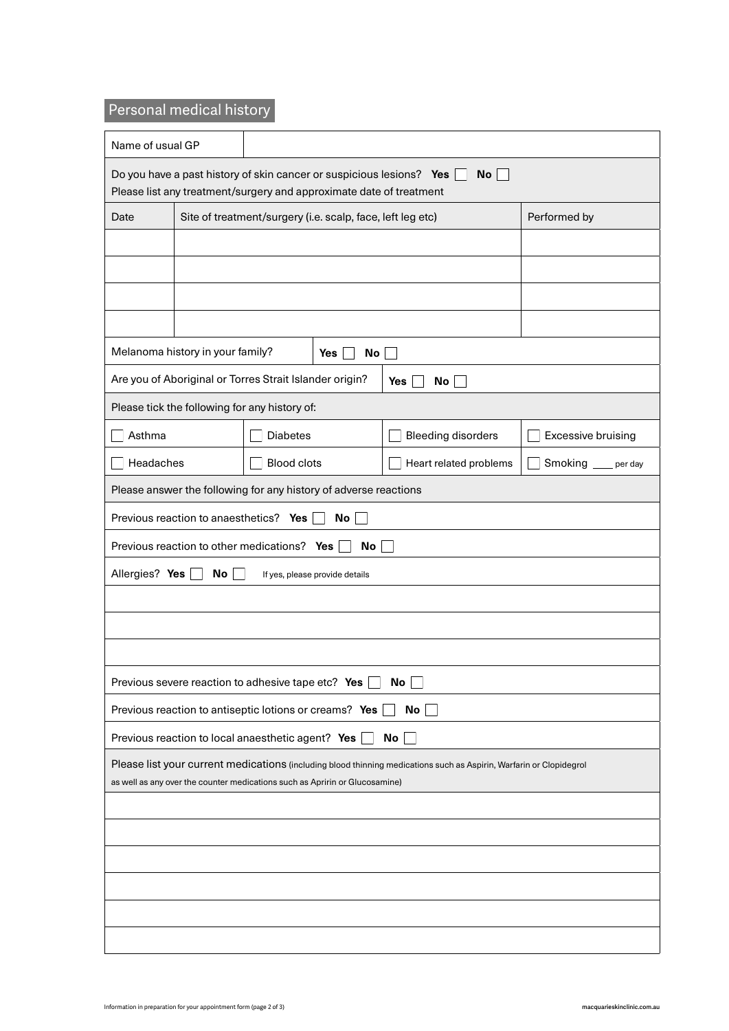# Personal medical history

| Name of usual GP                                                                                                                                                                                   |                                                                  |                                                            |                    |                           |                    |  |  |  |
|----------------------------------------------------------------------------------------------------------------------------------------------------------------------------------------------------|------------------------------------------------------------------|------------------------------------------------------------|--------------------|---------------------------|--------------------|--|--|--|
| Do you have a past history of skin cancer or suspicious lesions? Yes<br>No<br>Please list any treatment/surgery and approximate date of treatment                                                  |                                                                  |                                                            |                    |                           |                    |  |  |  |
| Date                                                                                                                                                                                               |                                                                  | Site of treatment/surgery (i.e. scalp, face, left leg etc) |                    | Performed by              |                    |  |  |  |
|                                                                                                                                                                                                    |                                                                  |                                                            |                    |                           |                    |  |  |  |
|                                                                                                                                                                                                    |                                                                  |                                                            |                    |                           |                    |  |  |  |
|                                                                                                                                                                                                    |                                                                  |                                                            |                    |                           |                    |  |  |  |
|                                                                                                                                                                                                    |                                                                  |                                                            |                    |                           |                    |  |  |  |
|                                                                                                                                                                                                    | Melanoma history in your family?                                 |                                                            | No<br>Yes          |                           |                    |  |  |  |
|                                                                                                                                                                                                    | Are you of Aboriginal or Torres Strait Islander origin?          |                                                            |                    | No<br>Yes                 |                    |  |  |  |
|                                                                                                                                                                                                    | Please tick the following for any history of:                    |                                                            |                    |                           |                    |  |  |  |
| Asthma                                                                                                                                                                                             |                                                                  | <b>Diabetes</b>                                            |                    | <b>Bleeding disorders</b> | Excessive bruising |  |  |  |
|                                                                                                                                                                                                    | Headaches                                                        |                                                            | <b>Blood clots</b> | Heart related problems    | Smoking __ per day |  |  |  |
|                                                                                                                                                                                                    | Please answer the following for any history of adverse reactions |                                                            |                    |                           |                    |  |  |  |
| Previous reaction to anaesthetics? Yes<br>No.                                                                                                                                                      |                                                                  |                                                            |                    |                           |                    |  |  |  |
| Previous reaction to other medications? Yes<br>No                                                                                                                                                  |                                                                  |                                                            |                    |                           |                    |  |  |  |
| Allergies? Yes<br>No<br>If yes, please provide details                                                                                                                                             |                                                                  |                                                            |                    |                           |                    |  |  |  |
|                                                                                                                                                                                                    |                                                                  |                                                            |                    |                           |                    |  |  |  |
|                                                                                                                                                                                                    |                                                                  |                                                            |                    |                           |                    |  |  |  |
|                                                                                                                                                                                                    |                                                                  |                                                            |                    |                           |                    |  |  |  |
|                                                                                                                                                                                                    | Previous severe reaction to adhesive tape etc? Yes               |                                                            |                    | No <sub>1</sub>           |                    |  |  |  |
|                                                                                                                                                                                                    | Previous reaction to antiseptic lotions or creams? Yes           |                                                            |                    | No <sub>1</sub>           |                    |  |  |  |
| Previous reaction to local anaesthetic agent? Yes<br>No <sub>1</sub>                                                                                                                               |                                                                  |                                                            |                    |                           |                    |  |  |  |
| Please list your current medications (including blood thinning medications such as Aspirin, Warfarin or Clopidegrol<br>as well as any over the counter medications such as Apririn or Glucosamine) |                                                                  |                                                            |                    |                           |                    |  |  |  |
|                                                                                                                                                                                                    |                                                                  |                                                            |                    |                           |                    |  |  |  |
|                                                                                                                                                                                                    |                                                                  |                                                            |                    |                           |                    |  |  |  |
|                                                                                                                                                                                                    |                                                                  |                                                            |                    |                           |                    |  |  |  |
|                                                                                                                                                                                                    |                                                                  |                                                            |                    |                           |                    |  |  |  |
|                                                                                                                                                                                                    |                                                                  |                                                            |                    |                           |                    |  |  |  |
|                                                                                                                                                                                                    |                                                                  |                                                            |                    |                           |                    |  |  |  |